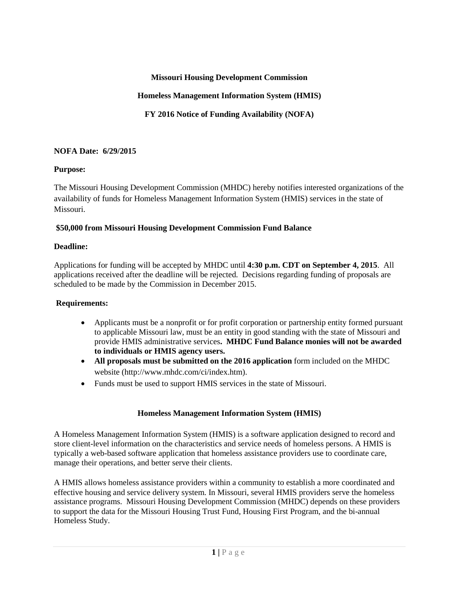#### **Missouri Housing Development Commission**

# **Homeless Management Information System (HMIS)**

**FY 2016 Notice of Funding Availability (NOFA)**

# **NOFA Date: 6/29/2015**

## **Purpose:**

The Missouri Housing Development Commission (MHDC) hereby notifies interested organizations of the availability of funds for Homeless Management Information System (HMIS) services in the state of Missouri.

## **\$50,000 from Missouri Housing Development Commission Fund Balance**

## **Deadline:**

Applications for funding will be accepted by MHDC until **4:30 p.m. CDT on September 4, 2015**. All applications received after the deadline will be rejected. Decisions regarding funding of proposals are scheduled to be made by the Commission in December 2015.

# **Requirements:**

- Applicants must be a nonprofit or for profit corporation or partnership entity formed pursuant to applicable Missouri law, must be an entity in good standing with the state of Missouri and provide HMIS administrative services**. MHDC Fund Balance monies will not be awarded to individuals or HMIS agency users.**
- **All proposals must be submitted on the 2016 application** form included on the MHDC website (http://www.mhdc.com/ci/index.htm).
- Funds must be used to support HMIS services in the state of Missouri.

# **Homeless Management Information System (HMIS)**

A Homeless Management Information System (HMIS) is [a software application](http://en.wikipedia.org/wiki/Software_application) designed to record and store client-level information on the characteristics and service needs of homeless persons. A HMIS is typically a [web-based](http://en.wikipedia.org/wiki/Web-based) software application that [homeless assistance](http://en.wikipedia.org/w/index.php?title=Homeless_assistance&action=edit&redlink=1) providers use to coordinate care, manage their operations, and better serve their clients.

A HMIS allows homeless assistance providers within a community to establish a more coordinated and effective [housing](http://en.wikipedia.org/wiki/House) and [service delivery](http://en.wikipedia.org/w/index.php?title=Service_delivery&action=edit&redlink=1) system. In Missouri, several HMIS providers serve the homeless assistance programs. Missouri Housing Development Commission (MHDC) depends on these providers to support the data for the Missouri Housing Trust Fund, Housing First Program, and the bi-annual Homeless Study.